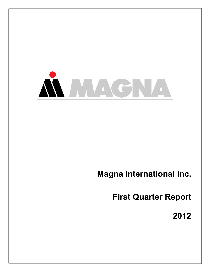

# **Magna International Inc.**

**First Quarter Report**

**2012**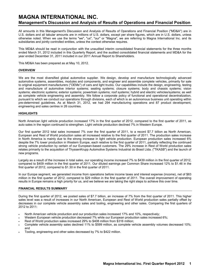## **MAGNA INTERNATIONAL INC. Management's Discussion and Analysis of Results of Operations and Financial Position**

All amounts in this Management's Discussion and Analysis of Results of Operations and Financial Position ("MD&A") are in U.S. dollars and all tabular amounts are in millions of U.S. dollars, except per share figures, which are in U.S. dollars, unless otherwise noted. When we use the terms "we", "us", "our" or "Magna", we are referring to Magna International Inc. and its subsidiaries and jointly controlled entities, unless the context otherwise requires.

This MD&A should be read in conjunction with the unaudited interim consolidated financial statements for the three months ended March 31, 2012 included in this Quarterly Report, and the audited consolidated financial statements and MD&A for the year ended December 31, 2011 included in our 2011 Annual Report to Shareholders.

This MD&A has been prepared as at May 10, 2012.

### **OVERVIEW**

We are the most diversified global automotive supplier. We design, develop and manufacture technologically advanced automotive systems, assemblies, modules and components, and engineer and assemble complete vehicles, primarily for sale to original equipment manufacturers ("OEMs") of cars and light trucks. Our capabilities include the design, engineering, testing and manufacture of automotive interior systems; seating systems; closure systems; body and chassis systems; vision systems; electronic systems; exterior systems; powertrain systems; roof systems; hybrid and electric vehicles/systems; as well as complete vehicle engineering and assembly. We follow a corporate policy of functional and operational decentralization, pursuant to which we conduct our operations through divisions, each of which is an autonomous business unit operating within pre-determined guidelines. As at March 31, 2012, we had 294 manufacturing operations and 87 product development, engineering and sales centres in 26 countries.

### **HIGHLIGHTS**

North American light vehicle production increased 17% in the first quarter of 2012, compared to the first quarter of 2011, as auto sales in the region continued to strengthen. Light vehicle production declined 7% in Western Europe.

Our first quarter 2012 total sales increased 7% over the first quarter of 2011, to a record \$7.7 billion as North American, European and Rest of World production sales all increased relative to the first quarter of 2011. The production sales increase in North America is mainly due to the strong increase in light vehicle production. European production sales increased 6% despite the 7% lower production in Western Europe, each relative to the first quarter of 2011, partially reflecting the continued strong vehicle production by certain of our European-based customers. The 29% increase in Rest of World production sales relates primarily to the acquisition of ThyssenKrupp Automotive Systems Industrial do Brasil Ltda. ("TKASB") and the launch of new programs.

Largely as a result of the increase in total sales, our operating income increased 7% to \$439 million in the first quarter of 2012, compared to \$409 million in the first quarter of 2011. Our diluted earnings per Common Share increased 12% to \$1.46 in the first quarter of 2012, compared to \$1.30 in the first quarter of 2011.

In our Europe segment, we generated income from operations before income taxes and interest expense (income), net of \$63 million in the first quarter of 2012, compared to \$29 million in the first quarter of 2011. The overall improvement of operating results in Europe remains a high priority for us, and we believe we are taking the right steps to achieve this over time.

### **FINANCIAL RESULTS SUMMARY**

During the first quarter of 2012, we posted sales of \$7.7 billion, an increase of 7% from the first quarter of 2011. This higher sales level was a result of increases in our North American, European and Rest of World production sales partially offset by decreases in our complete vehicle assembly sales and tooling, engineering and other sales. Comparing the first quarters of 2012 to 2011:

- North American vehicle production and our production sales increased 17% and 10%, respectively;
- Western European vehicle production decreased 7% while our European production sales increased 6%;
- Rest of World production sales increased 29% to \$408 million from \$316 million;
- Complete vehicle assembly sales declined 11% to \$599 million, as complete vehicle assembly volumes decreased 10%; and
- Tooling, engineering and other sales decreased by 7% to \$422 million.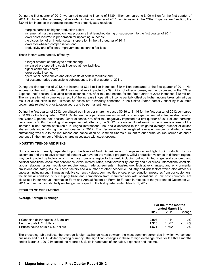During the first quarter of 2012, we earned operating income of \$439 million compared to \$400 million for the first quarter of 2011. Excluding other expense, net recorded in the first quarter of 2011, as discussed in the "Other Expense, net" section, the \$30 million increase in operating income was primarily as a result of:

- margins earned on higher production sales;
- incremental margin earned on new programs that launched during or subsequent to the first quarter of 2011;
- lower costs incurred in preparation for upcoming launches;
- the disposition of an interior systems operation in the third quarter of 2011;
- lower stock-based compensation; and
- productivity and efficiency improvements at certain facilities.

These factors were partially offset by:

- a larger amount of employee profit sharing;
- increased pre-operating costs incurred at new facilities;
- higher commodity costs;
- lower equity income:
- operational inefficiencies and other costs at certain facilities; and
- net customer price concessions subsequent to the first quarter of 2011.

During the first quarter of 2012, net income of \$341 million increased \$19 million compared to the first quarter of 2011. Net income for the first quarter of 2011 was negatively impacted by \$9 million of other expense, net, as discussed in the "Other Expense, net" section. Excluding other expense, net, after tax, net income for the first quarter of 2012 increased \$10 million. The increase in net income was a result of the increase in operating income partially offset by higher income taxes primarily as result of a reduction in the utilization of losses not previously benefitted in the United States partially offset by favourable settlements related to prior taxation years and by permanent items.

During the first quarter of 2012, our diluted earnings per share increased \$0.16 to \$1.46 for the first quarter of 2012 compared to \$1.30 for the first quarter of 2011. Diluted earnings per share was impacted by other expense, net, after tax, as discussed in the "Other Expense, net" section. Other expense, net, after tax, negatively impacted our first quarter of 2011 diluted earnings per share by \$0.04. Excluding other expense, net, after tax, the \$0.12 increase in diluted earnings per share is a result of the increase in net income attributable to Magna International Inc. and a decrease in the weighted average number of diluted shares outstanding during the first quarter of 2012. The decrease in the weighted average number of diluted shares outstanding was due to the repurchase and cancellation of Common Shares pursuant to our normal course issuer bids and a decrease in the number of diluted shares associated with stock options.

### **INDUSTRY TRENDS AND RISKS**

Our success is primarily dependent upon the levels of North American and European car and light truck production by our customers and the relative amount of content we have on the various programs. OEM production volumes in different regions may be impacted by factors which may vary from one region to the next, including but not limited to general economic and political conditions, consumer confidence levels, interest rates, credit availability, energy and fuel prices, international conflicts, labour relations issues, regulatory requirements, trade agreements, infrastructure, legislative changes, and environmental emissions and safety issues. These factors and a number of other economic, industry and risk factors which also affect our success, including such things as relative currency values, commodities prices, price reduction pressures from our customers, the financial condition of our supply base and competition from manufacturers with operations in low cost countries, are discussed in our Annual Information Form and Annual Report on Form 40-F, each in respect of the year ended December 31, 2011, and remain substantially unchanged in respect of the first quarter ended March 31, 2012.

### **RESULTS OF OPERATIONS**

### **Average Foreign Exchange**

|                                       |       | For the three months<br>ended March 31, |                          |        |
|---------------------------------------|-------|-----------------------------------------|--------------------------|--------|
|                                       | 2012  | 2011                                    |                          | Change |
| 1 Canadian dollar equals U.S. dollars | 0.998 | 1.014                                   |                          | $2\%$  |
| 1 euro equals U.S. dollars            | 1.310 | 1.367                                   | $\overline{\phantom{0}}$ | 4%     |
| 1 British pound equals U.S. dollars   | 1.571 | 1.602                                   | $\overline{\phantom{0}}$ | $2\%$  |

The preceding table reflects the average foreign exchange rates between the most common currencies in which we conduct business and our U.S. dollar reporting currency. The significant changes in these foreign exchange rates for the three months ended March 31, 2012 impacted the reported U.S. dollar amounts of our sales, expenses and income.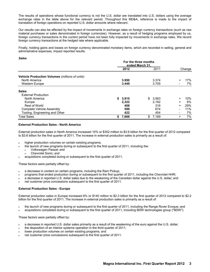The results of operations whose functional currency is not the U.S. dollar are translated into U.S. dollars using the average exchange rates in the table above for the relevant period. Throughout this MD&A, reference is made to the impact of translation of foreign operations on reported U.S. dollar amounts where relevant.

Our results can also be affected by the impact of movements in exchange rates on foreign currency transactions (such as raw material purchases or sales denominated in foreign currencies). However, as a result of hedging programs employed by us, foreign currency transactions in the current period have not been fully impacted by movements in exchange rates. We record foreign currency transactions at the hedged rate where applicable.

Finally, holding gains and losses on foreign currency denominated monetary items, which are recorded in selling, general and administrative expenses, impact reported results.

### *Sales*

|                                                       |    | For the three months<br>ended March 31, |    |       |           |        |
|-------------------------------------------------------|----|-----------------------------------------|----|-------|-----------|--------|
|                                                       |    | 2012                                    |    | 2011  |           | Change |
| <b>Vehicle Production Volumes (millions of units)</b> |    |                                         |    |       |           |        |
| North America                                         |    | 3.950                                   |    | 3.374 | $\ddot{}$ | 17%    |
| <b>Western Europe</b>                                 |    | 3.449                                   |    | 3.705 |           | 7%     |
| <b>Sales</b>                                          |    |                                         |    |       |           |        |
| <b>External Production</b>                            |    |                                         |    |       |           |        |
| North America                                         | \$ | 3,915                                   | \$ | 3,563 | +         | 10%    |
| Europe                                                |    | 2,322                                   |    | 2.182 | $\ddot{}$ | 6%     |
| Rest of World                                         |    | 408                                     |    | 316   | $\ddot{}$ | 29%    |
| Complete Vehicle Assembly                             |    | 599                                     |    | 674   | -         | 11%    |
| Tooling, Engineering and Other                        |    | 422                                     |    | 454   |           | 7%     |
| <b>Total Sales</b>                                    | \$ | 7,666                                   | \$ | 7,189 | +         | 7%     |

### **External Production Sales - North America**

External production sales in North America increased 10% or \$352 million to \$3.9 billion for the first quarter of 2012 compared to \$3.6 billion for the first quarter of 2011. The increase in external production sales is primarily as a result of:

- higher production volumes on certain existing programs;
	- the launch of new programs during or subsequent to the first quarter of 2011, including the:
		- Volkswagen Passat; and
		- Chevrolet Sonic; and
- acquisitions completed during or subsequent to the first quarter of 2011.

These factors were partially offset by:

- a decrease in content on certain programs, including the Ram Pickup;
- programs that ended production during or subsequent to the first quarter of 2011, including the Chevrolet HHR;
- a decrease in reported U.S. dollar sales due to the weakening of the Canadian dollar against the U.S. dollar; and
- net customer price concessions subsequent to the first quarter of 2011.

### **External Production Sales - Europe**

External production sales in Europe increased 6% or \$140 million to \$2.3 billion for the first quarter of 2012 compared to \$2.2 billion for the first quarter of 2011. The increase in external production sales is primarily as a result of:

- the launch of new programs during or subsequent to the first quarter of 2011, including the Range Rover Evoque; and
- acquisitions completed during or subsequent to the first quarter of 2011, including BDW technologies group ("BDW").

These factors were partially offset by:

- a decrease in reported U.S. dollar sales primarily as a result of the weakening of the euro against the U.S. dollar;
- the disposition of an interior systems operation in the third quarter of 2011;
- lower production volumes on certain existing programs; and
- net customer price concessions subsequent to the first quarter of 2011.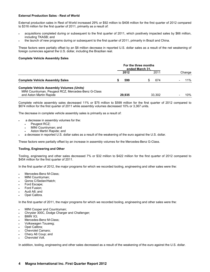### **External Production Sales - Rest of World**

External production sales in Rest of World increased 29% or \$92 million to \$408 million for the first quarter of 2012 compared to \$316 million for the first quarter of 2011, primarily as a result of:

- acquisitions completed during or subsequent to the first quarter of 2011, which positively impacted sales by \$66 million, including TKASB; and
- the launch of new programs during or subsequent to the first quarter of 2011, primarily in Brazil and China.

These factors were partially offset by an \$8 million decrease in reported U.S. dollar sales as a result of the net weakening of foreign currencies against the U.S. dollar, including the Brazilian real.

### **Complete Vehicle Assembly Sales**

|                                                                                                         | For the three months<br>ended March 31, |        |  |        |  |        |
|---------------------------------------------------------------------------------------------------------|-----------------------------------------|--------|--|--------|--|--------|
|                                                                                                         |                                         | 2012   |  | 2011   |  | Change |
| <b>Complete Vehicle Assembly Sales</b>                                                                  |                                         | 599    |  | 674    |  | 11%    |
| <b>Complete Vehicle Assembly Volumes (Units)</b><br>MINI Countryman, Peugeot RCZ, Mercedes-Benz G-Class |                                         |        |  |        |  |        |
| and Aston Martin Rapide                                                                                 |                                         | 29.935 |  | 33.302 |  | 10%    |

Complete vehicle assembly sales decreased 11% or \$75 million to \$599 million for the first quarter of 2012 compared to \$674 million for the first quarter of 2011 while assembly volumes decreased 10% or 3,367 units.

The decrease in complete vehicle assembly sales is primarily as a result of:

- a decrease in assembly volumes for the:
	- Peugeot RCZ;
	- MINI Countryman; and
	- Aston Martin Rapide; and
- a decrease in reported U.S. dollar sales as a result of the weakening of the euro against the U.S. dollar.

These factors were partially offset by an increase in assembly volumes for the Mercedes-Benz G-Class.

### **Tooling, Engineering and Other**

Tooling, engineering and other sales decreased 7% or \$32 million to \$422 million for the first quarter of 2012 compared to \$454 million for the first quarter of 2011.

In the first quarter of 2012, the major programs for which we recorded tooling, engineering and other sales were the:

- Mercedes-Benz M-Class;
- MINI Countryman;
- Qoros C/Sedan/Hatch;
- Ford Escape;
- Ford Fusion;
- Audi A8; and
- Opel Calibra.

In the first quarter of 2011, the major programs for which we recorded tooling, engineering and other sales were the:

- MINI Cooper and Countryman;
- Chrysler 300C, Dodge Charger and Challenger;
- BMW X3;
- Mercedes-Benz M-Class;
- Volkswagen Touareg;
- Opel Calibra;
- Chevrolet Camaro;
- Chery A6 Coup; and
- Chevrolet Volt.

In addition, tooling, engineering and other sales decreased as a result of the weakening of the euro against the U.S. dollar.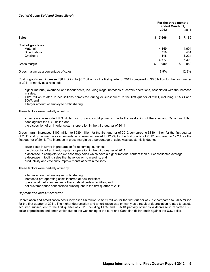|                                       |             | For the three months<br>ended March 31, |
|---------------------------------------|-------------|-----------------------------------------|
|                                       | 2012        | 2011                                    |
| <b>Sales</b>                          | 7,666<br>\$ | 7,189<br>\$                             |
| Cost of goods sold                    |             |                                         |
| Material                              | 4,849       | 4,604                                   |
| Direct labour                         | 510         | 481                                     |
| Overhead                              | 1,318       | 1,224                                   |
|                                       | 6,677       | 6,309                                   |
| Gross margin                          | 989<br>S    | 880                                     |
| Gross margin as a percentage of sales | 12.9%       | 12.2%                                   |

Cost of goods sold increased \$0.4 billion to \$6.7 billion for the first quarter of 2012 compared to \$6.3 billion for the first quarter of 2011 primarily as a result of:

- higher material, overhead and labour costs, including wage increases at certain operations, associated with the increase in sales;
- \$121 million related to acquisitions completed during or subsequent to the first quarter of 2011, including TKASB and BDW; and
- a larger amount of employee profit sharing.

These factors were partially offset by:

- a decrease in reported U.S. dollar cost of goods sold primarily due to the weakening of the euro and Canadian dollar, each against the U.S. dollar; and
- the disposition of an interior systems operation in the third quarter of 2011.

Gross margin increased \$109 million to \$989 million for the first quarter of 2012 compared to \$880 million for the first quarter of 2011 and gross margin as a percentage of sales increased to 12.9% for the first quarter of 2012 compared to 12.2% for the first quarter of 2011. The increase in gross margin as a percentage of sales was substantially due to:

- lower costs incurred in preparation for upcoming launches;
- the disposition of an interior systems operation in the third quarter of 2011;
- a decrease in complete vehicle assembly sales which have a higher material content than our consolidated average;
- a decrease in tooling sales that have low or no margins; and
- productivity and efficiency improvements at certain facilities.

These factors were partially offset by:

- a larger amount of employee profit sharing;
- increased pre-operating costs incurred at new facilities;
- operational inefficiencies and other costs at certain facilities; and
- net customer price concessions subsequent to the first quarter of 2011.

### *Depreciation and Amortization*

Depreciation and amortization costs increased \$6 million to \$171 million for the first quarter of 2012 compared to \$165 million for the first quarter of 2011. The higher depreciation and amortization was primarily as a result of depreciation related to assets acquired subsequent to the first quarter of 2011, including BDW and TKASB partially offset by a decrease in reported U.S. dollar depreciation and amortization due to the weakening of the euro and Canadian dollar, each against the U.S. dollar.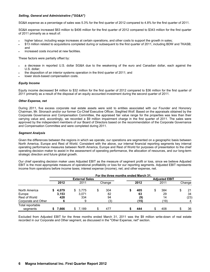### *Selling, General and Administrative ("SG&A")*

SG&A expense as a percentage of sales was 5.3% for the first quarter of 2012 compared to 4.8% for the first quarter of 2011.

SG&A expense increased \$63 million to \$406 million for the first quarter of 2012 compared to \$343 million for the first quarter of 2011 primarily as a result of:

- higher labour, including wage increases at certain operations, and other costs to support the growth in sales;
- \$13 million related to acquisitions completed during or subsequent to the first quarter of 2011, including BDW and TKASB; and
- increased costs incurred at new facilities.

These factors were partially offset by:

- a decrease in reported U.S. dollar SG&A due to the weakening of the euro and Canadian dollar, each against the U.S. dollar;
- the disposition of an interior systems operation in the third quarter of 2011; and
- lower stock-based compensation costs.

### *Equity Income*

Equity income decreased \$4 million to \$32 million for the first quarter of 2012 compared to \$36 million for the first quarter of 2011 primarily as a result of the disposal of an equity accounted investment during the second quarter of 2011.

### *Other Expense, net*

During 2011, five excess corporate real estate assets were sold to entities associated with our Founder and Honorary Chairman, Mr. Stronach and/or our former Co-Chief Executive Officer, Siegfried Wolf. Based on the appraisals obtained by the Corporate Governance and Compensation Committee, the appraised fair value range for the properties was less than their carrying value and, accordingly, we recorded a \$9 million impairment charge in the first quarter of 2011. The sales were approved by the independent members of our Board of Directors based on the recommendation of the Corporate Governance and Compensation Committee and were completed during 2011.

### *Segment Analysis*

Given the differences between the regions in which we operate, our operations are segmented on a geographic basis between North America, Europe and Rest of World. Consistent with the above, our internal financial reporting segments key internal operating performance measures between North America, Europe and Rest of World for purposes of presentation to the chief operating decision maker to assist in the assessment of operating performance, the allocation of resources, and our long-term strategic direction and future global growth.

Our chief operating decision maker uses Adjusted EBIT as the measure of segment profit or loss, since we believe Adjusted EBIT is the most appropriate measure of operational profitability or loss for our reporting segments. Adjusted EBIT represents income from operations before income taxes; interest expense (income), net; and other expense, net.

|                              | For the three months ended March 31. |       |     |                       |    |        |  |      |    |                      |        |
|------------------------------|--------------------------------------|-------|-----|-----------------------|----|--------|--|------|----|----------------------|--------|
|                              |                                      |       |     | <b>External Sales</b> |    |        |  |      |    | <b>Adjusted EBIT</b> |        |
|                              |                                      | 2012  |     | 2011                  |    | Change |  | 2012 |    | 2011                 | Change |
| North America                |                                      | 4,079 | SS. | 3,775                 | \$ | 304    |  | 405  | \$ | 384                  | 21     |
| Europe                       |                                      | 3,153 |     | 3,071                 |    | 82     |  | 63   |    | 29                   | 34     |
| Rest of World                |                                      | 428   |     | 334                   |    | 94     |  | (9)  |    | 14                   | (23)   |
| Corporate and Other          |                                      |       |     | 9                     |    | (3)    |  | (15) |    | (19)                 | 4      |
| Total reportable<br>segments |                                      | 7.666 | S   | 7.189                 | S  | 477    |  | 444  | £. | 408                  | 36     |

Excluded from Adjusted EBIT for the three months ended March 31, 2011 was the \$9 million write-down of real estate recorded in our Corporate and Other segment, as discussed in the "Other Expense, net" section.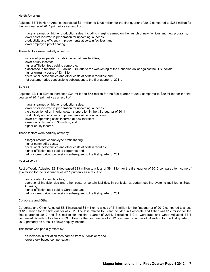### **North America**

Adjusted EBIT in North America increased \$21 million to \$405 million for the first quarter of 2012 compared to \$384 million for the first quarter of 2011 primarily as a result of:

- margins earned on higher production sales, including margins earned on the launch of new facilities and new programs;
- lower costs incurred in preparation for upcoming launches;
- productivity and efficiency improvements at certain facilities; and
- lower employee profit sharing.

These factors were partially offset by:

- increased pre-operating costs incurred at new facilities;
- lower equity income;
- higher affiliation fees paid to corporate;
- a decrease in reported U.S. dollar EBIT due to the weakening of the Canadian dollar against the U.S. dollar;
- higher warranty costs of \$3 million:
- operational inefficiencies and other costs at certain facilities; and
- net customer price concessions subsequent to the first quarter of 2011.

### **Europe**

Adjusted EBIT in Europe increased \$34 million to \$63 million for the first quarter of 2012 compared to \$29 million for the first quarter of 2011 primarily as a result of:

- margins earned on higher production sales;
- lower costs incurred in preparation for upcoming launches;
- the disposition of an interior systems operation in the third quarter of 2011;
- productivity and efficiency improvements at certain facilities;
- lower pre-operating costs incurred at new facilities;
- lower warranty costs of \$3 million; and
- higher equity income.

These factors were partially offset by:

- a larger amount of employee profit sharing;
- higher commodity costs;
- operational inefficiencies and other costs at certain facilities;
- higher affiliation fees paid to corporate; and
- net customer price concessions subsequent to the first quarter of 2011.

### **Rest of World**

Rest of World Adjusted EBIT decreased \$23 million to a loss of \$9 million for the first quarter of 2012 compared to income of \$14 million for the first quarter of 2011 primarily as a result of:

- costs related to new facilities;
- operational inefficiencies and other costs at certain facilities, in particular at certain seating systems facilities in South America;
- higher affiliation fees paid to Corporate; and
- net customer price concessions subsequent to the first quarter of 2011.

### **Corporate and Other**

Corporate and Other Adjusted EBIT increased \$4 million to a loss of \$15 million for the first quarter of 2012 compared to a loss of \$19 million for the first quarter of 2011. The loss related to E-Car included in Corporate and Other was \$12 million for the first quarter of 2012 and \$18 million for the first quarter of 2011. Excluding E-Car, Corporate and Other Adjusted EBIT decreased \$2 million to a loss of \$3 million for the first quarter of 2012 compared to a loss of \$1 million for the first quarter of 2012 primarily as a result of lower equity income.

This factor was partially offset by:

- an increase in affiliation fees earned from our divisions; and
- lower stock-based compensation.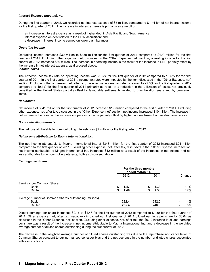### *Interest Expense (Income), net*

During the first quarter of 2012, we recorded net interest expense of \$5 million, compared to \$1 million of net interest income for the first quarter of 2011. The increase in interest expense is primarily as a result of:

- an increase in interest expense as a result of higher debt in Asia Pacific and South America;
- interest expense on debt related to the BDW acquisition; and
- a decrease in interest income earned on lower cash balances.

### *Operating Income*

Operating income increased \$39 million to \$439 million for the first quarter of 2012 compared to \$400 million for the first quarter of 2011. Excluding other expense, net, discussed in the "Other Expense, net" section, operating income for the first quarter of 2012 increased \$30 million. The increase in operating income is the result of the increase in EBIT partially offset by the increase in net interest expense, as discussed above.

*Income Taxes*

The effective income tax rate on operating income was 22.3% for the first quarter of 2012 compared to 19.5% for the first quarter of 2011. In the first quarter of 2011, income tax rates were impacted by the item discussed in the "Other Expense, net" section. Excluding other expenses, net, after tax, the effective income tax rate increased to 22.3% for the first quarter of 2012 compared to 19.1% for the first quarter of 2011 primarily as result of a reduction in the utilization of losses not previously benefitted in the United States partially offset by favourable settlements related to prior taxation years and by permanent items.

### *Net Income*

Net income of \$341 million for the first quarter of 2012 increased \$19 million compared to the first quarter of 2011. Excluding other expense, net, after tax, discussed in the "Other Expense, net" section, net income increased \$10 million. The increase in net income is the result of the increase in operating income partially offset by higher income taxes, both as discussed above.

### *Non-controlling Interests*

The net loss attributable to non-controlling interests was \$2 million for the first quarter of 2012.

### *Net Income attributable to Magna International Inc.*

The net income attributable to Magna International Inc. of \$343 million for the first quarter of 2012 increased \$21 million compared to the first quarter of 2011. Excluding other expense, net, after tax, discussed in the "Other Expense, net" section, net income attributable to Magna International Inc. increased \$12 million as a result of the increases in net income and net loss attributable to non-controlling interests, both as discussed above.

### *Earnings per Share*

|                                                        | For the three months<br>ended March 31, |       |    |       |   |        |
|--------------------------------------------------------|-----------------------------------------|-------|----|-------|---|--------|
|                                                        |                                         | 2012  |    | 2011  |   | Change |
| Earnings per Common Share                              |                                         |       |    |       |   |        |
| Basic                                                  | S                                       | 1.47  | S  | 1.33  | ÷ | 11%    |
| <b>Diluted</b>                                         | S                                       | 1.46  | \$ | 1.30  | + | 12%    |
| Average number of Common Shares outstanding (millions) |                                         |       |    |       |   |        |
| Basic                                                  |                                         | 232.4 |    | 242.0 |   | 4%     |
| <b>Diluted</b>                                         |                                         | 235.4 |    | 246.8 |   | 5%     |

Diluted earnings per share increased \$0.16 to \$1.46 for the first quarter of 2012 compared to \$1.30 for the first quarter of 2011. Other expense, net, after tax, negatively impacted our first quarter of 2011 diluted earnings per share by \$0.04 as discussed in the "Other Expense, net" section. Excluding other expense, net, after tax, the \$0.12 increase in diluted earnings per share was a result of the increase in net income attributable to Magna International Inc. and a decrease in the weighted average number of diluted shares outstanding during the first quarter of 2012.

The decrease in the weighted average number of diluted shares outstanding was due to the repurchase and cancellation of Common Shares pursuant to our normal course issuer bids and the net decrease in the number of diluted shares associated with stock options.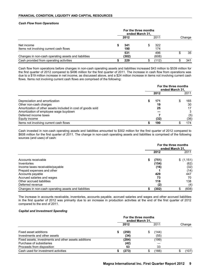### **FINANCIAL CONDITION, LIQUIDITY AND CAPITAL RESOURCES**

### *Cash Flow from Operations*

|                                                      | For the three months<br>ended March 31, |              |  |              |  |        |  |
|------------------------------------------------------|-----------------------------------------|--------------|--|--------------|--|--------|--|
|                                                      |                                         | 2012         |  | 2011         |  | Change |  |
| Net income<br>Items not involving current cash flows |                                         | 341<br>190   |  | 322<br>174   |  |        |  |
| Changes in non-cash operating assets and liabilities |                                         | 531<br>(302) |  | 496<br>(608) |  | 35     |  |
| Cash provided from operating activities              |                                         | 229          |  | (112)        |  | 341    |  |

Cash flow from operations before changes in non-cash operating assets and liabilities increased \$43 million to \$539 million for the first quarter of 2012 compared to \$496 million for the first quarter of 2011. The increase in cash flow from operations was due to a \$19 million increase in net income, as discussed above, and a \$24 million increase in items not involving current cash flows. Items not involving current cash flows are comprised of the following:

|                                                             | For the three months<br>ended March 31, |      |   |      |  |
|-------------------------------------------------------------|-----------------------------------------|------|---|------|--|
|                                                             |                                         | 2012 |   | 2011 |  |
| Depreciation and amortization                               |                                         | 171  | S | 165  |  |
| Other non-cash charges                                      |                                         | 19   |   | 30   |  |
| Amortization of other assets included in cost of goods sold |                                         | 25   |   | 17   |  |
| Amortization of employee wage buydown                       |                                         |      |   | 3    |  |
| Deferred income taxes                                       |                                         |      |   | (5)  |  |
| Equity income                                               |                                         | (32) |   | (36) |  |
| Items not involving current cash flows                      |                                         | 190  |   | 174  |  |

Cash invested in non-cash operating assets and liabilities amounted to \$302 million for the first quarter of 2012 compared to \$608 million for the first quarter of 2011. The change in non-cash operating assets and liabilities is comprised of the following sources (and uses) of cash:

|                                                      | For the three months<br>ended March 31. |       |            |  |
|------------------------------------------------------|-----------------------------------------|-------|------------|--|
|                                                      |                                         | 2012  | 2011       |  |
| Accounts receivable                                  | \$                                      | (751) | \$(1, 151) |  |
| Inventories                                          |                                         | (154) | (62)       |  |
| Income taxes receivable/payable                      |                                         | (16)  | (32)       |  |
| Prepaid expenses and other                           |                                         |       | (14)       |  |
| Accounts payable                                     |                                         | 429   | 447        |  |
| Accrued salaries and wages                           |                                         | 73    | 70         |  |
| Other accrued liabilities                            |                                         | 118   | 138        |  |
| Deferred revenue                                     |                                         | (2)   | (4)        |  |
| Changes in non-cash operating assets and liabilities |                                         | (302) | (608)      |  |

The increase in accounts receivable, inventories, accounts payable, accrued salaries and wages and other accrued liabilities in the first quarter of 2012 was primarily due to an increase in production activities at the end of the first quarter of 2012 compared to the end of 2011.

### *Capital and Investment Spending*

|                                                      | For the three months<br>ended March 31, |       |   |       |        |
|------------------------------------------------------|-----------------------------------------|-------|---|-------|--------|
|                                                      |                                         | 2012  |   | 2011  | Change |
| Fixed asset additions                                |                                         | (250) | S | (144) |        |
| Investments and other assets                         |                                         | (34)  |   | (55)  |        |
| Fixed assets, investments and other assets additions |                                         | (284) |   | (199) |        |
| Purchase of subsidiaries                             |                                         | (42)  |   |       |        |
| Proceeds from disposition                            |                                         | 53    |   | 33    |        |
| Cash used for investment activities                  |                                         | (273) |   | (166) | (107)  |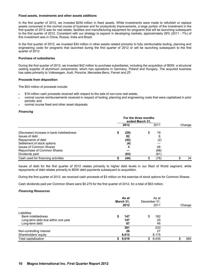### **Fixed assets, investments and other assets additions**

In the first quarter of 2012, we invested \$250 million in fixed assets. While investments were made to refurbish or replace assets consumed in the normal course of business and for productivity improvements, a large portion of the investment in the first quarter of 2012 was for real estate, facilities and manufacturing equipment for programs that will be launching subsequent to the first quarter of 2012. Consistent with our strategy to expand in developing markets, approximately 26% (2011 - 7%) of this investment was in China, Russia, India and Brazil.

In the first quarter of 2012, we invested \$34 million in other assets related primarily to fully reimbursable tooling, planning and engineering costs for programs that launched during the first quarter of 2012 or will be launching subsequent to the first quarter of 2012.

### **Purchase of subsidiaries**

During the first quarter of 2012, we invested \$42 million to purchase subsidiaries, including the acquisition of BDW, a structural casting supplier of aluminium components, which has operations in Germany, Poland and Hungary. The acquired business has sales primarily to Volkswagen, Audi, Porsche, Mercedes-Benz, Ferrari and ZF.

### **Proceeds from disposition**

The \$53 million of proceeds include:

- \$18 million cash proceeds received with respect to the sale of non-core real estate;
- normal course reimbursements received in respect of tooling, planning and engineering costs that were capitalized in prior periods; and
- normal course fixed and other asset disposals.

### *Financing*

|                                          | For the three months<br>ended March 31. |      |    |      |  |        |  |
|------------------------------------------|-----------------------------------------|------|----|------|--|--------|--|
|                                          |                                         | 2012 |    | 2011 |  | Change |  |
| (Decrease) increase in bank indebtedness |                                         | (20) | \$ | 19   |  |        |  |
| Issues of debt                           |                                         | 82   |    | 6    |  |        |  |
| Repayments of debt                       |                                         | (42) |    | (2)  |  |        |  |
| Settlement of stock options              |                                         | (4)  |    |      |  |        |  |
| <b>Issues of Common Shares</b>           |                                         |      |    | 48   |  |        |  |
| Repurchase of Common Shares              |                                         |      |    | (88) |  |        |  |
| Dividends paid                           |                                         | (63) |    | (61) |  |        |  |
| Cash used for financing activities       |                                         | (44) |    | (78) |  | 34     |  |

Issues of debt for the first quarter of 2012 relates primarily to higher debt levels in our Rest of World segment, while repayments of debt relates primarily to BDW debt payments subsequent to acquisition.

During the first quarter of 2012, we received cash proceeds of \$3 million on the exercise of stock options for Common Shares.

Cash dividends paid per Common Share were \$0.275 for the first quarter of 2012, for a total of \$63 million.

### *Financing Resources*

|                                    | As at<br>March 31,<br>2012 | As at<br>December 31.<br>2011 | Change   |
|------------------------------------|----------------------------|-------------------------------|----------|
| Liabilities                        |                            |                               |          |
| Bank indebtedness                  | 147                        | 162<br>\$                     |          |
| Long-term debt due within one year | 147                        | 25                            |          |
| Long-term debt                     | 87                         | 46                            |          |
|                                    | 381                        | 233                           |          |
| Non-controlling interest           | 26                         | 27                            |          |
| Shareholders' equity               | 8,612                      | 8,175                         |          |
| Total capitalization               | 9,019<br>S.                | \$8,435                       | 584<br>œ |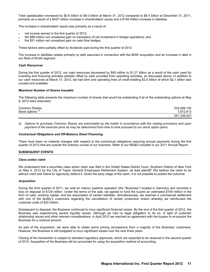Total capitalization increased by \$0.6 billion to \$9.0 billion at March 31, 2012 compared to \$8.4 billion at December 31, 2011, primarily as a result of a \$437 million increase in shareholders' equity and a \$148 million increase in liabilities.

The increase in shareholders' equity was primarily as a result of:

- net income earned in the first quarter of 2012;
- the \$98 million net unrealized gain on translation of net investment in foreign operations; and
- the \$51 million net unrealized gain on cash flow hedges.

These factors were partially offset by dividends paid during the first quarter of 2012.

The increase in liabilities relates primarily to debt assumed in connection with the BDW acquisition and an increase in debt in our Rest of World segment.

### *Cash Resources*

During the first quarter of 2012, our cash resources decreased by \$60 million to \$1.27 billion as a result of the cash used for investing and financing activities partially offset by cash provided from operating activities, as discussed above. In addition to our cash resources at March 31, 2012, we had term and operating lines of credit totalling \$2.5 billion of which \$2.1 billion was unused and available.

### *Maximum Number of Shares Issuable*

The following table presents the maximum number of shares that would be outstanding if all of the outstanding options at May 9, 2012 were exercised:

| <b>Common Shares</b> | 233,466,134 |
|----------------------|-------------|
| Stock options        | 7.872.413   |
|                      | 241,338,547 |

*(i) Options to purchase Common Shares are exercisable by the holder in accordance with the vesting provisions and upon payment of the exercise price as may be determined from time to time pursuant to our stock option plans.*

### *Contractual Obligations and Off-Balance Sheet Financing*

There have been no material changes with respect to the contractual obligations requiring annual payments during the first quarter of 2012 that are outside the ordinary course of our business. Refer to our MD&A included in our 2011 Annual Report.

### **SUBSEQUENT EVENTS**

### *Class action claim*

We understand that a securities class action claim was filed in the United States District Court, Southern District of New York on May 4, 2012 by the City of Taylor General Employees Retirement System, as lead plaintiff. We believe the claim to be without merit and intend to vigorously defend it. Given the early stage of the claim, it is not possible to predict the outcome.

### *Acquisition*

During the third quarter of 2011, we sold an interior systems operation (the "Business") located in Germany and recorded a loss on disposal of \$129 million. Under the terms of the sale, we agreed to fund the buyers an estimated \$109 million in the form of cash, working capital, and the assumption of certain liabilities. Simultaneously, we reached a commercial settlement with one of the facility's customers regarding the cancellation of certain production orders whereby we reimbursed the customer costs of \$20 million.

Subsequent to disposal, the Business continued to incur significant financial losses. By the end of the first quarter of 2012, the Business was experiencing severe liquidity issues. Although we had no legal obligation to do so, in light of customer relationship issues and other relevant considerations, in April 2012 we reached an agreement with the buyers to re-acquire the Business for a nominal amount.

As part of the acquisition, we were able to obtain some pricing concessions from a majority of the Business' customers. However, the Business is still budgeted to incur significant losses over the next three years.

Closing of the transaction is subject to standard regulatory approvals, which are expected to be received in the second quarter of 2012. Acquisition of the Business will be accounted for using the acquisition method of accounting.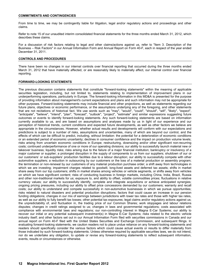### **COMMITMENTS AND CONTINGENCIES**

From time to time, we may be contingently liable for litigation, legal and/or regulatory actions and proceedings and other claims.

Refer to note 15 of our unaudited interim consolidated financial statements for the three months ended March 31, 2012, which describes these claims.

For a discussion of risk factors relating to legal and other claims/actions against us, refer to "Item 3. Description of the Business – Risk Factors" in our Annual Information Form and Annual Report on Form 40-F, each in respect of the year ended December 31, 2011.

### **CONTROLS AND PROCEDURES**

There have been no changes in our internal controls over financial reporting that occurred during the three months ended March 31, 2012 that have materially affected, or are reasonably likely to materially affect, our internal control over financial reporting.

### **FORWARD-LOOKING STATEMENTS**

The previous discussion contains statements that constitute "forward-looking statements" within the meaning of applicable securities legislation, including, but not limited to, statements relating to implementation of improvement plans in our underperforming operations, particularly in Europe. The forward-looking information in this MD&A is presented for the purpose of providing information about management's current expectations and plans and such information may not be appropriate for other purposes. Forward-looking statements may include financial and other projections, as well as statements regarding our future plans, objectives or economic performance, or the assumptions underlying any of the foregoing, and other statements that are not recitations of historical fact. We use words such as "may", "would", "could", "should", "will", "likely", "expect", "anticipate", "believe", "intend", "plan", "forecast", "outlook", "project", "estimate" and similar expressions suggesting future outcomes or events to identify forward-looking statements. Any such forward-looking statements are based on information currently available to us, and are based on assumptions and analyses made by us in light of our experience and our perception of historical trends, current conditions and expected future developments, as well as other factors we believe are appropriate in the circumstances. However, whether actual results and developments will conform with our expectations and predictions is subject to a number of risks, assumptions and uncertainties, many of which are beyond our control, and the effects of which can be difficult to predict, including, without limitation: the potential for a deterioration of economic conditions or an extended period of economic uncertainty; declines in consumer confidence and the impact on production volume levels; risks arising from uncertain economic conditions in Europe; restructuring, downsizing and/or other significant non-recurring costs; continued underperformance of one or more of our operating divisions; our ability to successfully launch material new or takeover business; liquidity risks; risks arising due to the failure of a major financial institution; bankruptcy or insolvency of a major customer or supplier; a prolonged disruption in the supply of components to us from our suppliers; shutdown of our or our customers' or sub-suppliers' production facilities due to a labour disruption; our ability to successfully compete with other automotive suppliers; a reduction in outsourcing by our customers or the loss of a material production or assembly program; the termination or non-renewal by our customers of any material production purchase order; a shift away from technologies in which we are investing; impairment charges related to goodwill, long-lived assets and deferred tax assets; shifts in market share away from our top customers; shifts in market shares among vehicles or vehicle segments, or shifts away from vehicles on which we have significant content; risks of conducting business in foreign markets, including China, India, Brazil, Russia and other non-traditional markets for us; exposure to, and ability to offset, volatile commodities prices; fluctuations in relative currency values; our ability to successfully identify, complete and integrate acquisitions or achieve anticipated synergies; ongoing pricing pressures, including our ability to offset price concessions demanded by our customers; warranty and recall costs; our ability to understand and compete successfully in non-automotive businesses in which we pursue opportunities; risks related to natural disasters and potential production disruptions; factors that could cause an increase in our pension funding obligations; changes in our mix of earnings between jurisdictions with lower tax rates and those with higher tax rates, as well as our ability to fully benefit tax losses; other potential tax exposures; legal claims and/or regulatory actions against us; the unpredictability of, and fluctuation in, the trading price of our Common Shares; work stoppages and labour relations disputes; changes in credit ratings assigned to us; changes in laws and governmental regulations; costs associated with compliance with environmental laws and regulations; our non-controlling interest in Magna E-Car Systems; our ability to recover our initial or any potential subsequent investment(s) in Magna E-Car Systems; risks related to the electric vehicle industry itself; and other factors set out in our Annual Information Form filed with securities commissions in Canada and our annual report on Form 40-F filed with the United States Securities and Exchange Commission, and subsequent filings. In evaluating forward-looking statements, we caution readers not to place undue reliance on any forward-looking statements and readers should specifically consider the various factors which could cause actual events or results to differ materially from those indicated by such forward-looking statements. Unless otherwise required by applicable securities laws, we do not intend, nor do we undertake any obligation, to update or revise any forward-looking statements to reflect subsequent information, events, results or circumstances or otherwise.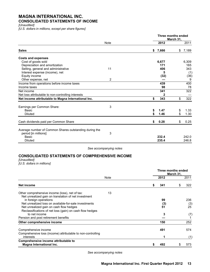### **MAGNA INTERNATIONAL INC. CONSOLIDATED STATEMENTS OF INCOME**

*[Unaudited]*

*[U.S. dollars in millions, except per share figures]*

|                                                                                                 |             | Three months ended | March 31, |       |
|-------------------------------------------------------------------------------------------------|-------------|--------------------|-----------|-------|
|                                                                                                 | <b>Note</b> | 2012               |           | 2011  |
| <b>Sales</b>                                                                                    |             | \$<br>7,666        | \$        | 7,189 |
| <b>Costs and expenses</b>                                                                       |             |                    |           |       |
| Cost of goods sold                                                                              |             | 6,677              |           | 6,309 |
| Depreciation and amortization                                                                   |             | 171                |           | 165   |
| Selling, general and administrative                                                             | 11          | 406                |           | 343   |
| Interest expense (income), net                                                                  |             | 5                  |           | (1)   |
| Equity income                                                                                   |             | (32)               |           | (36)  |
| Other expense, net                                                                              | 2           |                    |           | 9     |
| Income from operations before income taxes                                                      |             | 439                |           | 400   |
| Income taxes                                                                                    |             | 98                 |           | 78    |
| Net income                                                                                      |             | 341                |           | 322   |
| Net loss attributable to non-controlling interests                                              |             | 2                  |           |       |
| Net income attributable to Magna International Inc.                                             |             | \$<br>343          | \$        | 322   |
| Earnings per Common Share:                                                                      | 3           |                    |           |       |
| Basic                                                                                           |             | \$<br>1.47         | \$        | 1.33  |
| <b>Diluted</b>                                                                                  |             | 1.46               | \$        | 1.30  |
| Cash dividends paid per Common Share                                                            |             | \$<br>0.28         | \$        | 0.25  |
| Average number of Common Shares outstanding during the<br>period [in millions]:<br><b>Basic</b> | 3           | 232.4              |           | 242.0 |
| <b>Diluted</b>                                                                                  |             | 235.4              |           | 246.8 |

*See accompanying notes*

### **CONSOLIDATED STATEMENTS OF COMPREHENSIVE INCOME**

*[Unaudited]*

*[U.S. dollars in millions]*

|                                                                                                              |    | Three months ended | March 31, |            |  |
|--------------------------------------------------------------------------------------------------------------|----|--------------------|-----------|------------|--|
| Note                                                                                                         |    | 2012               |           | 2011       |  |
| Net income                                                                                                   | \$ | 341                | \$        | 322        |  |
| 13<br>Other comprehensive income (loss), net of tax:<br>Net unrealized gain on translation of net investment |    |                    |           |            |  |
| in foreign operations<br>Net unrealized loss on available-for-sale investments                               |    | 99                 |           | 236<br>(3) |  |
| Net unrealized gain on cash flow hedges                                                                      |    | (3)<br>51          |           | 25         |  |
| Reclassifications of net loss (gain) on cash flow hedges<br>to net income                                    |    | 3                  |           |            |  |
| Pension and post retirement benefits                                                                         |    |                    |           | (7)        |  |
| Other comprehensive income                                                                                   |    | 150                |           | 252        |  |
| Comprehensive income                                                                                         |    | 491                |           | 574        |  |
| Comprehensive loss (income) attributable to non-controlling<br>interests                                     |    |                    |           | (1)        |  |
| Comprehensive income attributable to<br>Magna International Inc.                                             | S  | 492                |           | 573        |  |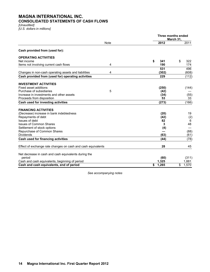### **MAGNA INTERNATIONAL INC. CONSOLIDATED STATEMENTS OF CASH FLOWS**

*[Unaudited]*

*[U.S. dollars in millions]*

|                                                              |             |             | Three months ended<br>March 31, |
|--------------------------------------------------------------|-------------|-------------|---------------------------------|
|                                                              | <b>Note</b> | 2012        | 2011                            |
| Cash provided from (used for):                               |             |             |                                 |
| <b>OPERATING ACTIVITIES</b>                                  |             |             |                                 |
| Net income                                                   |             | \$<br>341   | \$<br>322                       |
| Items not involving current cash flows                       | 4           | 190         | 174                             |
|                                                              |             | 531         | 496                             |
| Changes in non-cash operating assets and liabilities         | 4           | (302)       | (608)                           |
| Cash provided from (used for) operating activities           |             | 229         | (112)                           |
| <b>INVESTMENT ACTIVITIES</b>                                 |             |             |                                 |
| Fixed asset additions                                        |             | (250)       | (144)                           |
| Purchase of subsidiaries                                     | 5           | (42)        |                                 |
| Increase in investments and other assets                     |             | (34)        | (55)                            |
| Proceeds from disposition                                    |             | 53          | 33                              |
| Cash used for investing activities                           |             | (273)       | (166)                           |
| <b>FINANCING ACTIVITIES</b>                                  |             |             |                                 |
| (Decrease) increase in bank indebtedness                     |             | (20)        | 19                              |
| Repayments of debt                                           |             | (42)        | (2)                             |
| Issues of debt                                               |             | 82          | 6                               |
| <b>Issues of Common Shares</b>                               |             | 3           | 48                              |
| Settlement of stock options                                  |             | (4)         |                                 |
| Repurchase of Common Shares                                  |             |             | (88)                            |
| <b>Dividends</b>                                             |             | (63)        | (61)                            |
| Cash used for financing activities                           |             | (44)        | (78)                            |
| Effect of exchange rate changes on cash and cash equivalents |             | 28          | 45                              |
| Net decrease in cash and cash equivalents during the         |             |             |                                 |
| period                                                       |             | (60)        | (311)                           |
| Cash and cash equivalents, beginning of period               |             | 1,325       | 1,881                           |
| Cash and cash equivalents, end of period                     |             | 1,265<br>\$ | 1,570<br>\$                     |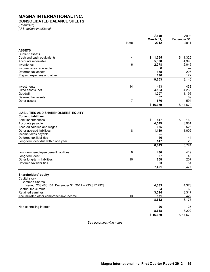# **MAGNA INTERNATIONAL INC.**

# **CONSOLIDATED BALANCE SHEETS**

*[Unaudited] [U.S. dollars in millions]*

|                                                        |      | As at       | As at        |
|--------------------------------------------------------|------|-------------|--------------|
|                                                        |      | March 31,   | December 31. |
|                                                        | Note | 2012        | 2011         |
| <b>ASSETS</b>                                          |      |             |              |
| <b>Current assets</b>                                  |      |             |              |
| Cash and cash equivalents                              | 4    | 1,265<br>\$ | 1,325<br>\$  |
| Accounts receivable                                    |      | 5,300       | 4,398        |
| Inventories                                            | 6    | 2,278       | 2,045        |
| Income taxes receivable                                |      | 6           |              |
| Deferred tax assets                                    |      | 158         | 206          |
| Prepaid expenses and other                             |      | 196         | 172          |
|                                                        |      | 9,203       | 8,146        |
|                                                        |      |             |              |
| Investments                                            | 14   | 443         | 438          |
| Fixed assets, net                                      |      | 4,563       | 4,236        |
| Goodwill                                               |      | 1,207       | 1,196        |
| Deferred tax assets                                    |      | 67          | 69           |
| Other assets                                           | 7    | 576         | 594          |
|                                                        |      | \$16,059    | \$14,679     |
|                                                        |      |             |              |
| <b>LIABILITIES AND SHAREHOLDERS' EQUITY</b>            |      |             |              |
| <b>Current liabilities</b>                             |      |             |              |
| <b>Bank indebtedness</b>                               |      | \$<br>147   | \$<br>162    |
| Accounts payable                                       |      | 4,549       | 3,961        |
| Accrued salaries and wages                             |      | 635         | 525          |
| Other accrued liabilities                              | 8    | 1,119       | 1,002        |
| Income taxes payable                                   |      |             | 5            |
| Deferred tax liabilities                               |      | 46          | 44           |
| Long-term debt due within one year                     |      | 147         | 25           |
|                                                        |      | 6,643       | 5,724        |
| Long-term employee benefit liabilities                 | 9    | 430         | 419          |
| Long-term debt                                         |      | 87          | 46           |
| Other long-term liabilities                            | 10   | 208         | 207          |
| Deferred tax liabilities                               |      | 53          | 81           |
|                                                        |      | 7,421       | 6,477        |
|                                                        |      |             |              |
| <b>Shareholders' equity</b>                            |      |             |              |
| Capital stock                                          |      |             |              |
| <b>Common Shares</b>                                   |      |             |              |
| [issued: 233,466,134; December 31, 2011 - 233,317,792] |      | 4,383       | 4,373        |
| Contributed surplus                                    |      | 64          | 63           |
| Retained earnings                                      |      | 3,594       | 3,317        |
| Accumulated other comprehensive income                 | 13   | 571         | 422          |
|                                                        |      | 8,612       | 8,175        |
| Non-controlling interest                               |      | 26          | 27           |
|                                                        |      | 8,638       | 8,202        |
|                                                        |      | \$16,059    | \$14,679     |
|                                                        |      |             |              |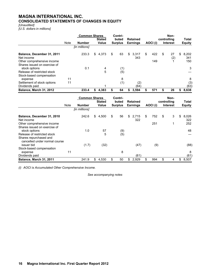### **MAGNA INTERNATIONAL INC. CONSOLIDATED STATEMENTS OF CHANGES IN EQUITY**

### *[Unaudited]*

*[U.S. dollars in millions]*

|                                               |      | <b>Common Shares</b> |    | <b>Stated</b> |    | Contri-<br>buted |    | <b>Retained</b> |           |   | Non-<br>controlling |    | Total         |
|-----------------------------------------------|------|----------------------|----|---------------|----|------------------|----|-----------------|-----------|---|---------------------|----|---------------|
|                                               | Note | <b>Number</b>        |    | <b>Value</b>  |    | <b>Surplus</b>   |    | <b>Earnings</b> | AOCI (i)  |   | <b>Interest</b>     |    | <b>Equity</b> |
|                                               |      | [in millions]        |    |               |    |                  |    |                 |           |   |                     |    |               |
| Balance, December 31, 2011<br>Net income      |      | 233.3                | \$ | 4,373         | \$ | 63               | \$ | 3,317<br>343    | \$<br>422 | S | 27<br>(2)           | S  | 8,202<br>341  |
| Other comprehensive income                    |      |                      |    |               |    |                  |    |                 | 149       |   |                     |    | 150           |
| Shares issued on exercise of<br>stock options |      | 0.1                  |    | 4             |    | (1)              |    |                 |           |   |                     |    | 3             |
| Release of restricted stock                   |      |                      |    | 5             |    | (5)              |    |                 |           |   |                     |    |               |
| Stock-based compensation                      | 11   |                      |    |               |    | 8                |    |                 |           |   |                     |    | 8             |
| expense                                       | 11   |                      |    |               |    |                  |    |                 |           |   |                     |    |               |
| Settlement of stock options<br>Dividends paid |      |                      |    |               |    | (1)              |    | (2)<br>(64)     |           |   |                     |    | (3)<br>(63)   |
| <b>Balance, March 31, 2012</b>                |      | 233.4                | S  | 4.383         | S  | 64               | S  | 3.594           | 571       | S | 26                  | \$ | 8.638         |

|                                                                                        |      | <b>Common Shares</b> | <b>Stated</b> | Contri-<br>buted | Retained           |           | Non-<br>controlling | Total              |
|----------------------------------------------------------------------------------------|------|----------------------|---------------|------------------|--------------------|-----------|---------------------|--------------------|
|                                                                                        | Note | <b>Number</b>        | Value         | <b>Surplus</b>   | <b>Earnings</b>    | AOCI(i)   | <b>Interest</b>     | <b>Equity</b>      |
|                                                                                        |      | [in millions]        |               |                  |                    |           |                     |                    |
| Balance, December 31, 2010<br>Net income                                               |      | 242.6                | \$<br>4,500   | \$<br>56         | \$<br>2,715<br>322 | \$<br>752 | \$<br>3             | \$<br>8,026<br>322 |
| Other comprehensive income                                                             |      |                      |               |                  |                    | 251       | 1                   | 252                |
| Shares issued on exercise of<br>stock options                                          |      | 1.0                  | 57            | (9)              |                    |           |                     | 48                 |
| Release of restricted stock<br>Shares repurchased and<br>cancelled under normal course |      |                      | 5             | (5)              |                    |           |                     |                    |
| issuer bid                                                                             |      | (1.7)                | (32)          |                  | (47)               | (9)       |                     | (88)               |
| Stock-based compensation                                                               |      |                      |               |                  |                    |           |                     |                    |
| expense                                                                                | 11   |                      |               | 8                |                    |           |                     | 8                  |
| Dividends paid                                                                         |      |                      |               |                  | (61)               |           |                     | (61)               |
| Balance, March 31, 2011                                                                |      | 241.9                | \$<br>4,530   | \$<br>50         | \$<br>2,929        | \$<br>994 | \$<br>4             | \$<br>8,507        |

*(i) AOCI is Accumulated Other Comprehensive Income.*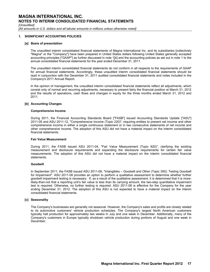*[Unaudited]*

*[All amounts in U.S. dollars and all tabular amounts in millions unless otherwise noted]* 

### **1. SIGNIFICANT ACCOUNTING POLICIES**

### **[a] Basis of presentation**

The unaudited interim consolidated financial statements of Magna International Inc. and its subsidiaries [collectively "Magna" or the "Company"] have been prepared in United States dollars following United States generally accepted accounting principles ["GAAP"] as further discussed in note 1[b] and the accounting policies as set out in note 1 to the annual consolidated financial statements for the year ended December 31, 2011.

The unaudited interim consolidated financial statements do not conform in all respects to the requirements of GAAP for annual financial statements. Accordingly, these unaudited interim consolidated financial statements should be read in conjunction with the December 31, 2011 audited consolidated financial statements and notes included in the Company's 2011 Annual Report.

In the opinion of management, the unaudited interim consolidated financial statements reflect all adjustments, which consist only of normal and recurring adjustments, necessary to present fairly the financial position at March 31, 2012 and the results of operations, cash flows and changes in equity for the three months ended March 31, 2012 and 2011.

### **[b] Accounting Changes**

### **Comprehensive Income**

During 2011, the Financial Accounting Standards Board ["FASB"] issued Accounting Standards Update ["ASU"] 2011-05 and ASU 2011-12, "Comprehensive Income (Topic 220)", requiring entities to present net income and other comprehensive income in either a single continuous statement or in two consecutive statements of net income and other comprehensive income. The adoption of this ASU did not have a material impact on the interim consolidated financial statements.

### **Fair Value Measurement**

During 2011, the FASB issued ASU 2011-04, "Fair Value Measurement (Topic 820)", clarifying the existing measurement and disclosure requirements and expanding the disclosure requirements for certain fair value measurements. The adoption of this ASU did not have a material impact on the interim consolidated financial statements.

### **Goodwill**

In September 2011, the FASB issued ASU 2011-08, "Intangibles – Goodwill and Other (Topic 350): Testing Goodwill for Impairment". ASU 2011-08 provides an option to perform a qualitative assessment to determine whether further goodwill impairment testing is necessary. If, as a result of the qualitative assessment, it is determined that it is morelikely-than-not that a reporting unit's fair value is less than its carrying amount, the two-step quantitative impairment test is required. Otherwise, no further testing is required. ASU 2011-08 is effective for the Company for the year ending December 31, 2012. The adoption of this ASU is not expected to have a material impact on the interim consolidated financial statements.

### **[c] Seasonality**

The Company's businesses are generally not seasonal. However, the Company's sales and profits are closely related to its automotive customers' vehicle production schedules. The Company's largest North American customers typically halt production for approximately two weeks in July and one week in December. Additionally, many of the Company's customers in Europe typically shutdown vehicle production during portions of August and one week in December.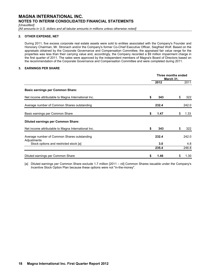*[Unaudited]*

[All amounts in U.S. dollars and all tabular amounts in millions unless otherwise noted]

### **2. OTHER EXPENSE, NET**

During 2011, five excess corporate real estate assets were sold to entities associated with the Company's Founder and Honorary Chairman, Mr. Stronach and/or the Company's former Co-Chief Executive Officer, Siegfried Wolf. Based on the appraisals obtained by the Corporate Governance and Compensation Committee, the appraised fair value range for the properties was less than their carrying value and, accordingly, the Company recorded a \$9 million impairment charge in the first quarter of 2011. The sales were approved by the independent members of Magna's Board of Directors based on the recommendation of the Corporate Governance and Compensation Committee and were completed during 2011.

### **3. EARNINGS PER SHARE**

|                                                            | Three months ended<br>March 31, |       |    |       |
|------------------------------------------------------------|---------------------------------|-------|----|-------|
|                                                            |                                 | 2012  |    | 2011  |
| <b>Basic earnings per Common Share:</b>                    |                                 |       |    |       |
| Net income attributable to Magna International Inc.        | \$                              | 343   | \$ | 322   |
| Average number of Common Shares outstanding                |                                 | 232.4 |    | 242.0 |
| Basic earnings per Common Share                            | \$                              | 1.47  | \$ | 1.33  |
| <b>Diluted earnings per Common Share:</b>                  |                                 |       |    |       |
| Net income attributable to Magna International Inc.        | \$                              | 343   | \$ | 322   |
| Average number of Common Shares outstanding<br>Adjustments |                                 | 232.4 |    | 242.0 |
| Stock options and restricted stock [a]                     |                                 | 3.0   |    | 4.8   |
|                                                            |                                 | 235.4 |    | 246.8 |
| Diluted earnings per Common Share                          | \$                              | 1.46  | \$ | 1.30  |

[a] Diluted earnings per Common Share exclude 1.7 million [2011 – nil] Common Shares issuable under the Company's Incentive Stock Option Plan because these options were not "in-the-money".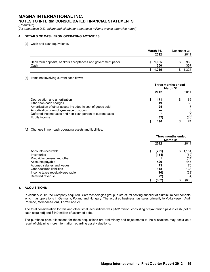*[Unaudited]*

*[All amounts in U.S. dollars and all tabular amounts in millions unless otherwise noted]*

### **4. DETAILS OF CASH FROM OPERATING ACTIVITIES**

[a] Cash and cash equivalents:

|                                                                      | March 31,<br>2012 | December 31, | 2011       |
|----------------------------------------------------------------------|-------------------|--------------|------------|
| Bank term deposits, bankers acceptances and government paper<br>Cash | 1.065<br>200      |              | 968<br>357 |
|                                                                      | \$1.265           |              | 1,325      |

### [b] Items not involving current cash flows:

|                                                             | Three months ended<br>March 31. |      |  |      |  |
|-------------------------------------------------------------|---------------------------------|------|--|------|--|
|                                                             |                                 | 2012 |  | 2011 |  |
| Depreciation and amortization                               |                                 | 171  |  | 165  |  |
| Other non-cash charges                                      |                                 | 19   |  | 30   |  |
| Amortization of other assets included in cost of goods sold |                                 | 25   |  | 17   |  |
| Amortization of employee wage buydown                       |                                 |      |  | 3    |  |
| Deferred income taxes and non-cash portion of current taxes |                                 |      |  | (5)  |  |
| Equity income                                               |                                 | (32) |  | (36) |  |
|                                                             |                                 | 190  |  | 174  |  |

[c] Changes in non-cash operating assets and liabilities:

|                                 | Three months ended<br>March 31. |           |  |  |
|---------------------------------|---------------------------------|-----------|--|--|
|                                 | 2012                            | 2011      |  |  |
| Accounts receivable             | \$<br>(751)                     | \$(1,151) |  |  |
| Inventories                     | (154)                           | (62)      |  |  |
| Prepaid expenses and other      |                                 | (14)      |  |  |
| Accounts payable                | 429                             | 447       |  |  |
| Accrued salaries and wages      | 73                              | 70        |  |  |
| Other accrued liabilities       | 118                             | 138       |  |  |
| Income taxes receivable/payable | (16)                            | (32)      |  |  |
| Deferred revenue                | (2)                             | (4)       |  |  |
|                                 | (302)                           | (608)     |  |  |

### **5. ACQUISITIONS**

In January 2012, the Company acquired BDW technologies group, a structural casting supplier of aluminium components, which has operations in Germany, Poland and Hungary. The acquired business has sales primarily to Volkswagen, Audi, Porsche, Mercedes-Benz, Ferrari and ZF.

The total consideration for this and other small acquisitions was \$182 million, consisting of \$42 million paid in cash [net of cash acquired] and \$140 million of assumed debt.

The purchase price allocations for these acquisitions are preliminary and adjustments to the allocations may occur as a result of obtaining more information regarding asset valuations.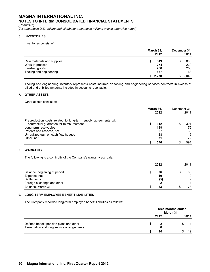*[Unaudited]*

[All amounts in U.S. dollars and all tabular amounts in millions unless otherwise noted]

### **6. INVENTORIES**

Inventories consist of:

|                            | March 31,<br>2012 | December 31,<br>2011 |     |
|----------------------------|-------------------|----------------------|-----|
| Raw materials and supplies | 849               |                      | 800 |
| Work-in-process            | 274               |                      | 229 |
| Finished goods             | 268               |                      | 253 |
| Tooling and engineering    | 887               |                      | 763 |
|                            | 2,278<br>S.       | 2.045                |     |

Tooling and engineering inventory represents costs incurred on tooling and engineering services contracts in excess of billed and unbilled amounts included in accounts receivable.

### **7. OTHER ASSETS**

Other assets consist of:

|                                                                 | March 31,<br>2012 | December 31, | 2011 |
|-----------------------------------------------------------------|-------------------|--------------|------|
| Preproduction costs related to long-term supply agreements with |                   |              |      |
| contractual guarantee for reimbursement                         | 312               |              | 301  |
| Long-term receivables                                           | 138               |              | 176  |
| Patents and licences, net                                       | 27                |              | 30   |
| Unrealized gain on cash flow hedges                             | 28                |              | 15   |
| Other, net                                                      | 71                |              | 72   |
|                                                                 | 576               |              | 594  |

### **8. WARRANTY**

The following is a continuity of the Company's warranty accruals:

|                                                             | 2012            | 2011            |
|-------------------------------------------------------------|-----------------|-----------------|
| Balance, beginning of period<br>Expense, net<br>Settlements | 76<br>10<br>(5) | 68<br>10<br>(9) |
| Foreign exchange and other                                  |                 | 4               |
| Balance, March 31                                           | 83              | 73              |

### **9. LONG-TERM EMPLOYEE BENEFIT LIABILITIES**

The Company recorded long-term employee benefit liabilities as follows:

|                                           |      | Three months ended<br>March 31, |      |
|-------------------------------------------|------|---------------------------------|------|
|                                           | 2012 |                                 | 2011 |
| Defined benefit pension plans and other   |      |                                 |      |
| Termination and long service arrangements |      |                                 |      |
|                                           | 10   |                                 | 12   |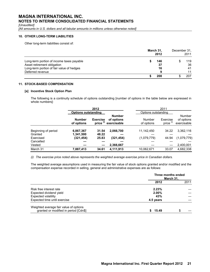*[Unaudited]*

[All amounts in U.S. dollars and all tabular amounts in millions unless otherwise noted]

### **10. OTHER LONG-TERM LIABILITIES**

Other long-term liabilities consist of:

|                                           | March 31, | 2012 | December 31, | 2011 |
|-------------------------------------------|-----------|------|--------------|------|
| Long-term portion of income taxes payable |           | 146  |              | 119  |
| Asset retirement obligation               |           | 37   |              | 36   |
| Long-term portion of fair value of hedges |           | 16   |              | 41   |
| Deferred revenue                          |           | 9    |              | 11   |
|                                           |           | 208  |              | 207  |

### **11. STOCK-BASED COMPENSATION**

### **[a] Incentive Stock Option Plan**

The following is a continuity schedule of options outstanding [number of options in the table below are expressed in whole numbers]:

|                                | 2012                        |                          |                                            |                      | 2011                             |                                     |
|--------------------------------|-----------------------------|--------------------------|--------------------------------------------|----------------------|----------------------------------|-------------------------------------|
|                                | <b>Options outstanding</b>  |                          |                                            | Options outstanding  |                                  |                                     |
|                                | <b>Number</b><br>of options | <b>Exercise</b><br>price | <b>Number</b><br>of options<br>exercisable | Number<br>of options | Exercise<br>price <sup>(i)</sup> | Number<br>of options<br>exercisable |
| Beginning of period<br>Granted | 6,867,367<br>1,341,500      | 31.54<br>48.22           | 2,066,700                                  | 11,142,450           | 34.22                            | 3,362,116                           |
| Exercised                      | (321,454)                   | 25.83                    | (321,454)                                  | (1,079,779)          | 44.94                            | (1,079,779)                         |
| Cancelled                      |                             |                          |                                            |                      |                                  |                                     |
| Vested                         |                             |                          | 2,366,667                                  |                      |                                  | 2,400,001                           |
| March 31                       | 7,887,413                   | 34.61                    | 4,111,913                                  | 10,062,671           | 33.07                            | 4,682,338                           |

*(i) The exercise price noted above represents the weighted average exercise price in Canadian dollars.*

The weighted average assumptions used in measuring the fair value of stock options granted and/or modified and the compensation expense recorded in selling, general and administrative expenses are as follows:

|                                                                                 | Three months ended<br>March 31, |      |  |
|---------------------------------------------------------------------------------|---------------------------------|------|--|
|                                                                                 | 2012                            | 2011 |  |
| Risk free interest rate                                                         | 2.23%                           |      |  |
| Expected dividend yield                                                         | $2.00\%$                        |      |  |
| <b>Expected volatility</b>                                                      | 43%                             |      |  |
| Expected time until exercise                                                    | 4.5 years                       |      |  |
| Weighted average fair value of options<br>granted or modified in period [Cdn\$] | 15.49                           |      |  |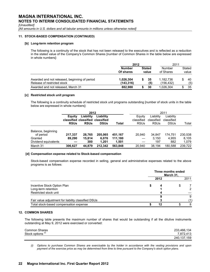*[Unaudited]*

*[All amounts in U.S. dollars and all tabular amounts in millions unless otherwise noted]* 

### **11. STOCK-BASED COMPENSATION (CONTINUED)**

### **[b] Long-term retention program**

The following is a continuity of the stock that has not been released to the executives and is reflected as a reduction in the stated value of the Company's Common Shares [number of Common Shares in the table below are expressed in whole numbers]:

|                                                                              | 2012                       |                        |           | 2011                   |  |                     |  |                 |
|------------------------------------------------------------------------------|----------------------------|------------------------|-----------|------------------------|--|---------------------|--|-----------------|
|                                                                              | <b>Number</b><br>Of shares | <b>Stated</b><br>value |           |                        |  | Number<br>of Shares |  | Stated<br>value |
| Awarded and not released, beginning of period<br>Release of restricted stock | 1,026,304<br>(143, 316)    |                        | 35<br>(5) | 1,182,736<br>(156,432) |  | 40<br>(5)           |  |                 |
| Awarded and not released, March 31                                           | 882.988                    |                        | 30        | 1.026.304              |  | 35                  |  |                 |

### **[c] Restricted stock unit program**

The following is a continuity schedule of restricted stock unit programs outstanding [number of stock units in the table below are expressed in whole numbers]:

|                                 | 2012                             |             |             |         |             |             | 2011        |         |
|---------------------------------|----------------------------------|-------------|-------------|---------|-------------|-------------|-------------|---------|
|                                 | Liability<br>Equity              |             | Liability   |         | Equity      | Liability   | Liability   |         |
|                                 | classified classified classified |             |             |         | classified  | classified  | classified  |         |
|                                 | <b>RSUs</b>                      | <b>RSUs</b> | <b>DSUs</b> | Total   | <b>RSUs</b> | <b>RSUs</b> | <b>DSUs</b> | Total   |
| Balance, beginning<br>of period | 217.337                          | 28.765      | 205.065     | 451.167 | 20.940      | 34.847      | 174.751     | 230,538 |
| Granted                         | 89.290                           | 15.814      | 6.076       | 111.180 |             | 3.150       | 4.955       | 8.105   |
| Dividend equivalents            |                                  | 300         | 1.201       | 1,501   |             | 197         | 882         | 1,079   |
| March 31                        | 306.627                          | 44.879      | 212.342     | 563.848 | 20.940      | 38.194      | 180.588     | 239.722 |

### **[d] Compensation expense related to Stock-based compensation**

Stock-based compensation expense recorded in selling, general and administrative expenses related to the above programs is as follows:

|                                                     |      | Three months ended<br>March 31, |      |
|-----------------------------------------------------|------|---------------------------------|------|
|                                                     | 2012 |                                 | 2011 |
| Incentive Stock Option Plan                         | 4    |                                 |      |
| Long-term retention                                 |      |                                 |      |
| Restricted stock unit                               |      |                                 |      |
|                                                     |      |                                 | 9    |
| Fair value adjustment for liability classified DSUs |      |                                 | (1)  |
| Total stock-based compensation expense              | 12   |                                 | 8    |

### **12. COMMON SHARES**

The following table presents the maximum number of shares that would be outstanding if all the dilutive instruments outstanding at May 9, 2012 were exercised or converted:

| Common Shares                | 233,466,134   |
|------------------------------|---------------|
| Stock options <sup>(i)</sup> | 7.872.413     |
|                              | 240, 137, 159 |

*(i) Options to purchase Common Shares are exercisable by the holder in accordance with the vesting provisions and upon payment of the exercise price as may be determined from time to time pursuant to the Company's stock option plans.*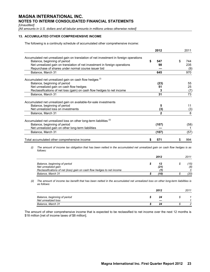*[Unaudited]*

*[All amounts in U.S. dollars and all tabular amounts in millions unless otherwise noted]* 

### **13. ACCUMULATED OTHER COMPREHENSIVE INCOME**

The following is a continuity schedule of accumulated other comprehensive income:

|                                                                                                                                                                                                      | 2012                    | 2011                   |
|------------------------------------------------------------------------------------------------------------------------------------------------------------------------------------------------------|-------------------------|------------------------|
| Accumulated net unrealized gain on translation of net investment in foreign operations<br>Balance, beginning of period<br>Net unrealized gain on translation of net investment in foreign operations | \$<br>547<br>98         | \$<br>744<br>235       |
| Repurchase of shares under normal course issuer bid<br>Balance, March 31                                                                                                                             | 645                     | (9)<br>970             |
|                                                                                                                                                                                                      |                         |                        |
| Accumulated net unrealized gain on cash flow hedges <sup>(i)</sup>                                                                                                                                   |                         |                        |
| Balance, beginning of period                                                                                                                                                                         | (23)                    | 55                     |
| Net unrealized gain on cash flow hedges                                                                                                                                                              | 51                      | 25                     |
| Reclassifications of net loss (gain) on cash flow hedges to net income                                                                                                                               | 3                       | (7)                    |
| Balance, March 31                                                                                                                                                                                    | 31                      | 73                     |
| Accumulated net unrealized gain on available-for-sale investments                                                                                                                                    |                         |                        |
| Balance, beginning of period                                                                                                                                                                         | 5                       | 11                     |
| Net unrealized loss on investments                                                                                                                                                                   | (3)                     | (3)                    |
| Balance, March 31                                                                                                                                                                                    | $\mathbf{2}$            | 8                      |
| Accumulated net unrealized loss on other long-term liabilities (ii)<br>Balance, beginning of period<br>Net unrealized gain on other long-term liabilities                                            | (107)                   | (58)                   |
| Balance, March 31                                                                                                                                                                                    | (107)                   | (57)                   |
| Total accumulated other comprehensive income                                                                                                                                                         | \$<br>571               | \$<br>994              |
| The amount of income tax obligation that has been netted in the accumulated net unrealized gain on cash flow hedges is as<br>(i)<br>follows:                                                         | 2012                    | 2011                   |
|                                                                                                                                                                                                      |                         |                        |
| Balance, beginning of period<br>Net unrealized gain<br>Reclassifications of net (loss) gain on cash flow hedges to net income                                                                        | \$<br>12<br>(21)<br>(1) | \$<br>(15)<br>(8)<br>3 |
| Balance, March 31                                                                                                                                                                                    | \$<br>(10)              | \$<br>(20)             |
| The amount of income tax benefit that has been netted in the accumulated net unrealized loss on other long-term liabilities is<br>(ii)<br>as follows:                                                |                         |                        |
|                                                                                                                                                                                                      | 2012                    | 2011                   |

| Balance, beginning of period<br>Net unrealized loss | 24 |  |
|-----------------------------------------------------|----|--|
| Balance, March 31                                   | 24 |  |

The amount of other comprehensive income that is expected to be reclassified to net income over the next 12 months is \$18 million [net of income taxes of \$8 million].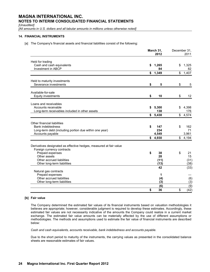*[Unaudited]*

[All amounts in U.S. dollars and all tabular amounts in millions unless otherwise noted]

### **14. FINANCIAL INSTRUMENTS**

[a] The Company's financial assets and financial liabilities consist of the following:

|                                                                                                                                                                                                  | March 31,<br>2012              | December 31.<br>2011 |                          |  |
|--------------------------------------------------------------------------------------------------------------------------------------------------------------------------------------------------|--------------------------------|----------------------|--------------------------|--|
| Held for trading<br>Cash and cash equivalents<br>Investment in ABCP                                                                                                                              | \$<br>1,265<br>84              | \$                   | 1,325<br>82              |  |
|                                                                                                                                                                                                  | \$<br>1,349                    | \$                   | 1,407                    |  |
| Held to maturity investments<br>Severance investments                                                                                                                                            | \$<br>5                        | \$                   | 5                        |  |
| Available-for-sale<br><b>Equity investments</b>                                                                                                                                                  | \$<br>10                       | \$                   | 12                       |  |
| Loans and receivables<br>Accounts receivable<br>Long-term receivables included in other assets                                                                                                   | \$<br>5,300<br>138             | \$                   | 4,398<br>176             |  |
|                                                                                                                                                                                                  | \$<br>5,438                    | \$                   | 4,574                    |  |
| Other financial liabilities<br><b>Bank indebtedness</b><br>Long-term debt (including portion due within one year)<br>Accounts payable                                                            | \$<br>147<br>234<br>4,549      | \$                   | 162<br>71<br>3,961       |  |
|                                                                                                                                                                                                  | \$<br>4,930                    | $\frac{2}{3}$        | 4,194                    |  |
| Derivatives designated as effective hedges, measured at fair value<br>Foreign currency contracts<br>Prepaid expenses<br>Other assets<br>Other accrued liabilities<br>Other long-term liabilities | \$<br>38<br>28<br>(11)<br>(13) | \$                   | 21<br>15<br>(31)<br>(38) |  |
| Natural gas contracts                                                                                                                                                                            | 42                             |                      | (33)                     |  |
| Prepaid expenses<br>Other accrued liabilities<br>Other long-term liabilities                                                                                                                     | 1<br>(4)<br>(3)                |                      | (6)<br>(3)               |  |
|                                                                                                                                                                                                  | \$<br>(6)<br>36                | \$                   | (9)<br>(42)              |  |

### **[b] Fair value**

The Company determined the estimated fair values of its financial instruments based on valuation methodologies it believes are appropriate; however, considerable judgment is required to develop these estimates. Accordingly, these estimated fair values are not necessarily indicative of the amounts the Company could realize in a current market exchange. The estimated fair value amounts can be materially affected by the use of different assumptions or methodologies. The methods and assumptions used to estimate the fair value of financial instruments are described below:

*Cash and cash equivalents, accounts receivable, bank indebtedness and accounts payable.*

Due to the short period to maturity of the instruments, the carrying values as presented in the consolidated balance sheets are reasonable estimates of fair values.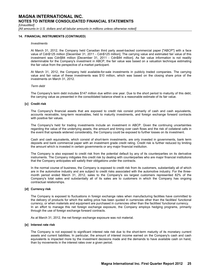*[Unaudited]*

*[All amounts in U.S. dollars and all tabular amounts in millions unless otherwise noted]* 

### **14. FINANCIAL INSTRUMENTS (CONTINUED)**

### *Investments*

At March 31, 2012, the Company held Canadian third party asset-backed commercial paper ["ABCP"] with a face value of Cdn\$125 million [December 31, 2011 - Cdn\$125 million]. The carrying value and estimated fair value of this investment was Cdn\$84 million [December 31, 2011 - Cdn\$84 million]. As fair value information is not readily determinable for the Company's investment in ABCP, the fair value was based on a valuation technique estimating the fair value from the perspective of a market participant.

At March 31, 2012, the Company held available-for-sale investments in publicly traded companies. The carrying value and fair value of these investments was \$10 million, which was based on the closing share price of the investments on March 31, 2012.

#### *Term debt*

The Company's term debt includes \$147 million due within one year. Due to the short period to maturity of this debt, the carrying value as presented in the consolidated balance sheet is a reasonable estimate of its fair value.

### **[c] Credit risk**

The Company's financial assets that are exposed to credit risk consist primarily of cash and cash equivalents, accounts receivable, long-term receivables, held to maturity investments, and foreign exchange forward contracts with positive fair values.

The Company's held for trading investments include an investment in ABCP. Given the continuing uncertainties regarding the value of the underlying assets, the amount and timing over cash flows and the risk of collateral calls in the event that spreads widened considerably, the Company could be exposed to further losses on its investment.

Cash and cash equivalents, which consist of short-term investments, are only invested in governments, bank term deposits and bank commercial paper with an investment grade credit rating. Credit risk is further reduced by limiting the amount which is invested in certain governments or any major financial institution.

The Company is also exposed to credit risk from the potential default by any of its counterparties on its derivative instruments. The Company mitigates this credit risk by dealing with counterparties who are major financial institutions that the Company anticipates will satisfy their obligations under the contracts.

In the normal course of business, the Company is exposed to credit risk from its customers, substantially all of which are in the automotive industry and are subject to credit risks associated with the automotive industry. For the threemonth period ended March 31, 2012, sales to the Company's six largest customers represented 82% of the Company's total sales and substantially all of its sales are to customers in which the Company has ongoing contractual relationships.

### **[d] Currency risk**

The Company is exposed to fluctuations in foreign exchange rates when manufacturing facilities have committed to the delivery of products for which the selling price has been quoted in currencies other than the facilities' functional currency, or when materials and equipment are purchased in currencies other than the facilities' functional currency. In an effort to manage this net foreign exchange exposure, the Company employs hedging programs, primarily through the use of foreign exchange forward contracts.

As at March 31, 2012, the net foreign exchange exposure was not material.

#### **[e] Interest rate risk**

The Company is not exposed to significant interest rate risk due to the short-term maturity of its monetary current assets and current liabilities. In particular, the amount of interest income earned on the Company's cash and cash equivalents is impacted more by the investment decisions made and the demands to have available cash on hand, than by movements in the interest rates over a given period.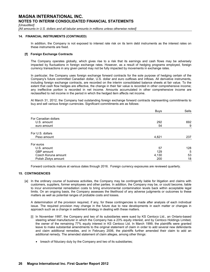*[Unaudited]*

*[All amounts in U.S. dollars and all tabular amounts in millions unless otherwise noted]* 

### **14. FINANCIAL INSTRUMENTS (CONTINUED)**

In addition, the Company is not exposed to interest rate risk on its term debt instruments as the interest rates on these instruments are fixed.

### **[f] Foreign Exchange Contracts**

The Company operates globally, which gives rise to a risk that its earnings and cash flows may be adversely impacted by fluctuations in foreign exchange rates. However, as a result of hedging programs employed, foreign currency transactions in any given period may not be fully impacted by movements in exchange rates.

In particular, the Company uses foreign exchange forward contracts for the sole purpose of hedging certain of the Company's future committed Canadian dollar, U.S. dollar and euro outflows and inflows. All derivative instruments, including foreign exchange contracts, are recorded on the interim consolidated balance sheets at fair value. To the extent that cash flow hedges are effective, the change in their fair value is recorded in other comprehensive income; any ineffective portion is recorded in net income. Amounts accumulated in other comprehensive income are reclassified to net income in the period in which the hedged item affects net income.

At March 31, 2012, the Company had outstanding foreign exchange forward contracts representing commitments to buy and sell various foreign currencies. Significant commitments are as follows:

|                      | <b>Buys</b> | Sells |
|----------------------|-------------|-------|
| For Canadian dollars |             |       |
| U.S. amount          | 292         | 692   |
| euro amount          | 54          | 9     |
| For U.S. dollars     |             |       |
| Peso amount          | 4,821       | 237   |
| For euros            |             |       |
| U.S. amount          | 57          | 128   |
| GBP amount           | 129         | 5     |
| Czech Koruna amount  | 4,130       | 53    |
| Polish Zlotys amount | 200         | 18    |

Forward contracts mature at various dates through 2016. Foreign currency exposures are reviewed quarterly.

### **15. CONTINGENCIES**

[a] In the ordinary course of business activities, the Company may be contingently liable for litigation and claims with customers, suppliers, former employees and other parties. In addition, the Company may be, or could become, liable to incur environmental remediation costs to bring environmental contamination levels back within acceptable legal limits. On an ongoing basis, the Company assesses the likelihood of any adverse judgments or outcomes to these matters as well as potential ranges of probable costs and losses.

A determination of the provision required, if any, for these contingencies is made after analysis of each individual issue. The required provision may change in the future due to new developments in each matter or changes in approach such as a change in settlement strategy in dealing with these matters.

- [i] In November 1997, the Company and two of its subsidiaries were sued by KS Centoco Ltd., an Ontario-based steering wheel manufacturer in which the Company has a 23% equity interest, and by Centoco Holdings Limited, the owner of the remaining 77% equity interest in KS Centoco Ltd. In March 1999, the plaintiffs were granted leave to make substantial amendments to the original statement of claim in order to add several new defendants and claim additional remedies, and in February 2006, the plaintiffs further amended their claim to add an additional remedy. The amended statement of claim alleges, among other things:
	- breach of fiduciary duty by the Company and two of its subsidiaries;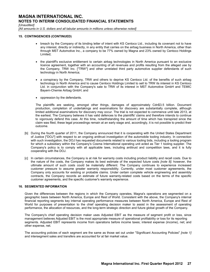*[Unaudited]*

*[All amounts in U.S. dollars and all tabular amounts in millions unless otherwise noted]* 

### **15. CONTINGENCIES (CONTINUED)**

- breach by the Company of its binding letter of intent with KS Centoco Ltd., including its covenant not to have any interest, directly or indirectly, in any entity that carries on the airbag business in North America, other than through MST Automotive Inc., a company to be 77% owned by Magna and 23% owned by Centoco Holdings Limited;
- the plaintiff's exclusive entitlement to certain airbag technologies in North America pursuant to an exclusive licence agreement, together with an accounting of all revenues and profits resulting from the alleged use by the Company, TRW Inc. ["TRW"] and other unrelated third party automotive supplier defendants of such technology in North America;
- a conspiracy by the Company, TRW and others to deprive KS Centoco Ltd. of the benefits of such airbag technology in North America and to cause Centoco Holdings Limited to sell to TRW its interest in KS Centoco Ltd. in conjunction with the Company's sale to TRW of its interest in MST Automotive GmbH and TEMIC Bayern-Chemie Airbag GmbH; and
- oppression by the defendants.

The plaintiffs are seeking, amongst other things, damages of approximately Cdn\$3.5 billion. Document production, completion of undertakings and examinations for discovery are substantially complete, although limited additional examinations for discovery may occur. The trial is not expected to commence until late 2013, at the earliest. The Company believes it has valid defences to the plaintiffs' claims and therefore intends to continue to vigorously defend this case. At this time, notwithstanding the amount of time which has transpired since the claim was filed, these legal proceedings remain at an early stage and, accordingly, it is not possible to predict their outcome.

- [b] During the fourth quarter of 2011, the Company announced that it is cooperating with the United States Department of Justice ["DOJ"] with respect to an ongoing antitrust investigation of the automobile tooling industry. In connection with such investigation, the DOJ has requested documents related to various tooling bids, including a tooling program for which a subsidiary within the Company's Cosma International operating unit acted as Tier 1 tooling supplier. The Company's policy is to comply with all applicable laws, including antitrust and competition laws, and it is fully cooperating with the DOJ.
- [c] In certain circumstances, the Company is at risk for warranty costs including product liability and recall costs. Due to the nature of the costs, the Company makes its best estimate of the expected future costs *[note 8]*; however, the ultimate amount of such costs could be materially different. The Company continues to experience increased customer pressure to assume greater warranty responsibility. Currently, under most customer agreements, the Company only accounts for existing or probable claims. Under certain complete vehicle engineering and assembly contracts, the Company records an estimate of future warranty-related costs based on the terms of the specific customer agreements, and the specific customer's warranty experience.

### **16. SEGMENTED INFORMATION**

Given the differences between the regions in which the Company operates, Magna's operations are segmented on a geographic basis between North America, Europe and Rest of World. Consistent with the above, the Company's internal financial reporting segments key internal operating performance measures between North America, Europe and Rest of World for purposes of presentation to the chief operating decision maker to assist in the assessment of operating performance, the allocation of resources, and the long-term strategic direction and future global growth of the Company.

The Company's chief operating decision maker uses Adjusted EBIT as the measure of segment profit or loss, since management believes Adjusted EBIT is the most appropriate measure of operational profitability or loss for its reporting segments. Adjusted EBIT represents income from operations before income taxes; interest expense (income), net; and other expense, net.

The accounting policies of each segment are the same as those set out under "Significant Accounting Policies" *[note 1]* and intersegment sales and transfers are accounted for at fair market value.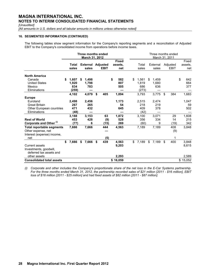*[Unaudited]*

[All amounts in U.S. dollars and all tabular amounts in millions unless otherwise noted]

### **16. SEGMENTED INFORMATION (CONTINUED)**

The following tables show segment information for the Company's reporting segments and a reconciliation of Adjusted EBIT to the Company's consolidated income from operations before income taxes.

|                                                                                      | Three months ended<br>March 31, 2012 |                              |    |                                   |    |                   |    | Three months ended<br>March 31, 2011 |                              |    |                     |                           |                         |    |                         |  |
|--------------------------------------------------------------------------------------|--------------------------------------|------------------------------|----|-----------------------------------|----|-------------------|----|--------------------------------------|------------------------------|----|---------------------|---------------------------|-------------------------|----|-------------------------|--|
|                                                                                      |                                      | Total<br>sales               |    | <b>External Adjusted</b><br>sales |    | <b>EBIT</b>       |    | <b>Fixed</b><br>assets.<br>net       | Total<br>sales               |    | External<br>sales   |                           | Adjusted<br><b>EBIT</b> |    | Fixed<br>assets.<br>net |  |
| <b>North America</b><br>Canada<br><b>United States</b>                               | \$                                   | 1,607<br>1.920               | S  | 1,498<br>1,798                    |    |                   | \$ | 582<br>807                           | \$<br>1,561<br>1.819         | \$ | 1,459<br>1,680      |                           |                         | \$ | 642<br>664              |  |
| Mexico<br>Eliminations                                                               |                                      | 834<br>(259)                 |    | 783                               |    |                   |    | 505                                  | 686<br>(273)                 |    | 636                 |                           |                         |    | 377                     |  |
| <b>Europe</b>                                                                        |                                      | 4,102                        |    | 4,079                             | \$ | 405               |    | 1,894                                | 3,793                        |    | 3,775               | \$                        | 384                     |    | 1,683                   |  |
| Euroland<br><b>Great Britain</b><br><b>Other European countries</b>                  |                                      | 2,498<br>267<br>471          |    | 2,456<br>265<br>432               |    |                   |    | 1,173<br>54<br>645                   | 2,515<br>218<br>409          |    | 2,474<br>219<br>378 |                           |                         |    | 1,047<br>59<br>502      |  |
| Eliminations<br><b>Rest of World</b><br>Corporate and Other <sup>(i)</sup>           |                                      | (48)<br>3,188<br>453<br>(77) |    | 3,153<br>428<br>6                 |    | 63<br>(9)<br>(15) |    | 1,872<br>528<br>269                  | (42)<br>3,100<br>356<br>(60) |    | 3,071<br>334<br>9   |                           | 29<br>14<br>(19)        |    | 1,608<br>215<br>342     |  |
| <b>Total reportable segments</b><br>Other expense, net<br>Interest (expense) income, |                                      | 7,666                        |    | 7,666                             |    | 444               |    | 4,563                                | 7,189                        |    | 7,189               |                           | 408<br>(9)              |    | 3,848                   |  |
| net<br>Current assets<br>Investments, goodwill,                                      | \$                                   | 7,666                        | \$ | 7,666                             | \$ | (5)<br>439        |    | 4,563<br>9,203                       | \$<br>7,189                  | \$ | 7,189               | $\boldsymbol{\mathsf{S}}$ | 1<br>400                |    | 3,848<br>8,615          |  |
| deferred tax assets and<br>other assets<br><b>Consolidated total assets</b>          |                                      |                              |    |                                   |    |                   |    | 2,293<br>\$16,059                    |                              |    |                     |                           |                         |    | 2,589<br>\$15,052       |  |

*(i) Corporate and other includes the Company's proportionate share of the net loss in the E-Car Systems partnership. For the three months ended March 31, 2012, the partnership recorded sales of \$21 million [2011 - \$16 million], EBIT loss of \$16 million [2011 - \$25 million] and had fixed assets of \$82 million [2011 - \$87 million].*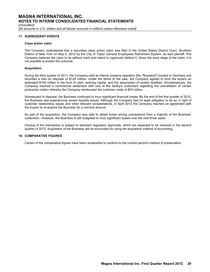*[Unaudited]*

*[All amounts in U.S. dollars and all tabular amounts in millions unless otherwise noted]* 

### **17. SUBSEQUENT EVENTS**

### **Class action claim**

The Company understands that a securities class action claim was filed in the United States District Court, Southern District of New York on May 4, 2012 by the City of Taylor General Employees Retirement System, as lead plaintiff. The Company believes the claim to be without merit and intend to vigorously defend it. Given the early stage of the claim, it is not possible to predict the outcome.

### **Acquisition**

During the third quarter of 2011, the Company sold an interior systems operation [the "Business"] located in Germany and recorded a loss on disposal of \$129 million. Under the terms of the sale, the Company agreed to fund the buyers an estimated \$109 million in the form of cash, working capital, and the assumption of certain liabilities. Simultaneously, the Company reached a commercial settlement with one of the facility's customers regarding the cancellation of certain production orders whereby the Company reimbursed the customer costs of \$20 million.

Subsequent to disposal, the Business continued to incur significant financial losses. By the end of the first quarter of 2012, the Business was experiencing severe liquidity issues. Although the Company had no legal obligation to do so, in light of customer relationship issues and other relevant considerations, in April 2012 the Company reached an agreement with the buyers to re-acquire the Business for a nominal amount.

As part of the acquisition, the Company was able to obtain some pricing concessions from a majority of the Business' customers. However, the Business is still budgeted to incur significant losses over the next three years.

Closing of the transaction is subject to standard regulatory approvals, which are expected to be received in the second quarter of 2012. Acquisition of the Business will be accounted for using the acquisition method of accounting.

### **18. COMPARATIVE FIGURES**

Certain of the comparative figures have been reclassified to conform to the current period's method of presentation.